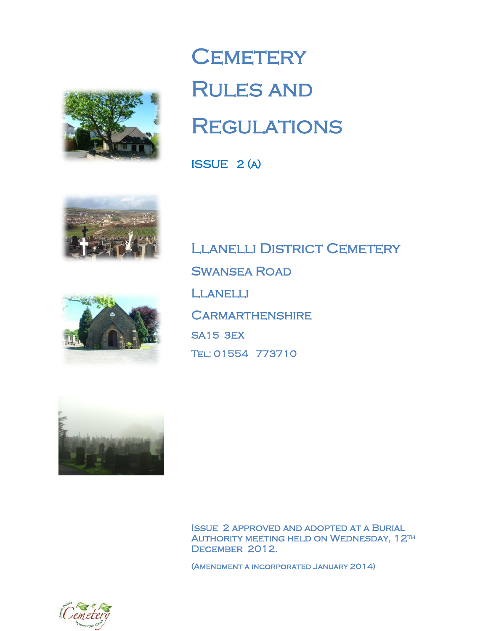

# **CEMETERY** Rules and **REGULATIONS**

ISSUE 2 (a)





LLANELLI DISTRICT CEMETERY Swansea Road Llanelli **CARMARTHENSHIRE** SA15 3EX Tel: 01554 773710



Issue 2 approved and adopted at a Burial Authority meeting held on Wednesday, 12th DECEMBER 2012.

(Amendment a incorporated January 2014)

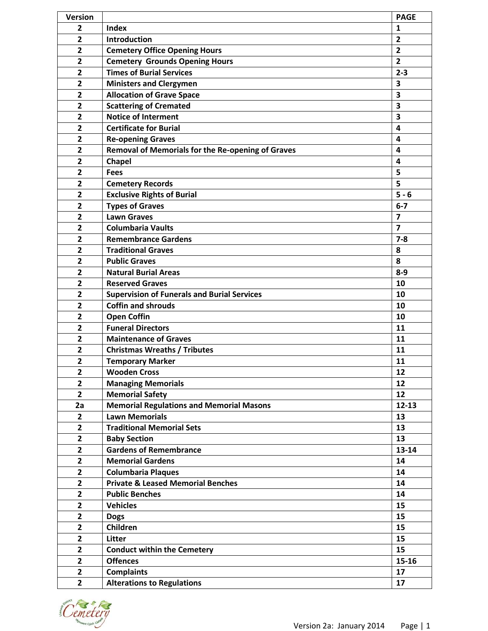| <b>Version</b>          |                                                    | <b>PAGE</b>             |
|-------------------------|----------------------------------------------------|-------------------------|
| 2                       | <b>Index</b>                                       | 1                       |
| $\overline{2}$          | Introduction                                       | $\overline{2}$          |
| 2                       | <b>Cemetery Office Opening Hours</b>               | $\overline{2}$          |
| $\overline{2}$          | <b>Cemetery Grounds Opening Hours</b>              | $\overline{2}$          |
| $\overline{2}$          | <b>Times of Burial Services</b>                    | $2 - 3$                 |
| $\overline{2}$          | <b>Ministers and Clergymen</b>                     | 3                       |
| $\overline{2}$          | <b>Allocation of Grave Space</b>                   | 3                       |
| $\overline{2}$          | <b>Scattering of Cremated</b>                      | 3                       |
| $\overline{2}$          | <b>Notice of Interment</b>                         | 3                       |
| $\overline{2}$          | <b>Certificate for Burial</b>                      | 4                       |
| $\overline{2}$          | <b>Re-opening Graves</b>                           | 4                       |
| $\overline{2}$          | Removal of Memorials for the Re-opening of Graves  | 4                       |
| $\overline{2}$          | <b>Chapel</b>                                      | 4                       |
| 2                       | <b>Fees</b>                                        | 5                       |
| $\overline{2}$          | <b>Cemetery Records</b>                            | 5                       |
| $\overline{2}$          | <b>Exclusive Rights of Burial</b>                  | $5 - 6$                 |
| $\overline{2}$          | <b>Types of Graves</b>                             | $6 - 7$                 |
| $\overline{2}$          | <b>Lawn Graves</b>                                 | $\overline{7}$          |
| 2                       | <b>Columbaria Vaults</b>                           | $\overline{\mathbf{z}}$ |
| $\mathbf{2}$            | <b>Remembrance Gardens</b>                         | $7 - 8$                 |
| $\overline{2}$          | <b>Traditional Graves</b>                          | 8                       |
| $\mathbf{2}$            | <b>Public Graves</b>                               | 8                       |
| $\overline{2}$          | <b>Natural Burial Areas</b>                        | $8-9$                   |
| $\overline{2}$          | <b>Reserved Graves</b>                             | 10                      |
| 2                       | <b>Supervision of Funerals and Burial Services</b> | 10                      |
| $\overline{2}$          | <b>Coffin and shrouds</b>                          | 10                      |
| $\overline{2}$          | <b>Open Coffin</b>                                 | 10                      |
| $\overline{\mathbf{2}}$ | <b>Funeral Directors</b>                           | 11                      |
| $\overline{2}$          | <b>Maintenance of Graves</b>                       | 11                      |
| $\overline{2}$          | <b>Christmas Wreaths / Tributes</b>                | 11                      |
| $\overline{2}$          | <b>Temporary Marker</b>                            | 11                      |
| $\overline{\mathbf{2}}$ | <b>Wooden Cross</b>                                | 12                      |
| $\overline{2}$          | <b>Managing Memorials</b>                          | 12                      |
| $\overline{2}$          | <b>Memorial Safety</b>                             | 12                      |
| 2a                      | <b>Memorial Regulations and Memorial Masons</b>    | $12 - 13$               |
| $\overline{2}$          | <b>Lawn Memorials</b>                              | 13                      |
| $\overline{2}$          | <b>Traditional Memorial Sets</b>                   | 13                      |
| $\overline{2}$          | <b>Baby Section</b>                                | 13                      |
| $\overline{2}$          | <b>Gardens of Remembrance</b>                      | 13-14                   |
| $\overline{\mathbf{2}}$ | <b>Memorial Gardens</b>                            | 14                      |
| 2                       | <b>Columbaria Plaques</b>                          | 14                      |
| $\mathbf{2}$            | <b>Private &amp; Leased Memorial Benches</b>       | 14                      |
| $\overline{\mathbf{2}}$ | <b>Public Benches</b>                              | 14                      |
| $\overline{2}$          | <b>Vehicles</b>                                    | 15                      |
| $\overline{\mathbf{2}}$ | <b>Dogs</b>                                        | 15                      |
| $\overline{2}$          | Children                                           | 15                      |
| $\overline{2}$          | Litter                                             | 15                      |
| $\overline{2}$          | <b>Conduct within the Cemetery</b>                 | 15                      |
| $\overline{2}$          | <b>Offences</b>                                    | 15-16                   |
| $\overline{\mathbf{2}}$ | <b>Complaints</b>                                  | 17                      |
| $\overline{2}$          | <b>Alterations to Regulations</b>                  | 17                      |

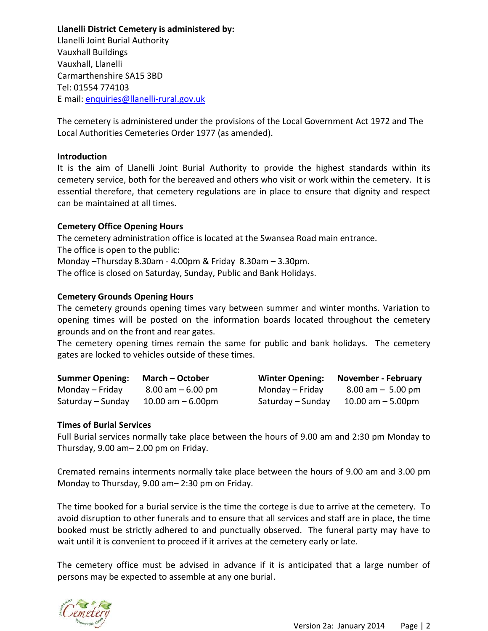**Llanelli District Cemetery is administered by:** Llanelli Joint Burial Authority Vauxhall Buildings Vauxhall, Llanelli Carmarthenshire SA15 3BD Tel: 01554 774103 E mail: [enquiries@llanelli-rural.gov.uk](mailto:enquiries@llanelli-rural.gov.uk)

The cemetery is administered under the provisions of the Local Government Act 1972 and The Local Authorities Cemeteries Order 1977 (as amended).

## **Introduction**

It is the aim of Llanelli Joint Burial Authority to provide the highest standards within its cemetery service, both for the bereaved and others who visit or work within the cemetery. It is essential therefore, that cemetery regulations are in place to ensure that dignity and respect can be maintained at all times.

## **Cemetery Office Opening Hours**

The cemetery administration office is located at the Swansea Road main entrance. The office is open to the public: Monday –Thursday 8.30am - 4.00pm & Friday 8.30am – 3.30pm.

The office is closed on Saturday, Sunday, Public and Bank Holidays.

## **Cemetery Grounds Opening Hours**

The cemetery grounds opening times vary between summer and winter months. Variation to opening times will be posted on the information boards located throughout the cemetery grounds and on the front and rear gates.

The cemetery opening times remain the same for public and bank holidays. The cemetery gates are locked to vehicles outside of these times.

| <b>Summer Opening:</b> | <b>March – October</b> |                   | Winter Opening: November - February |
|------------------------|------------------------|-------------------|-------------------------------------|
| Monday – Friday        | $8.00$ am $-6.00$ pm   | Monday – Friday   | $8.00 \text{ am} - 5.00 \text{ pm}$ |
| Saturday – Sunday      | 10.00 $am - 6.00pm$    | Saturday – Sunday | 10.00 am $-$ 5.00pm                 |

## **Times of Burial Services**

Full Burial services normally take place between the hours of 9.00 am and 2:30 pm Monday to Thursday, 9.00 am– 2.00 pm on Friday.

Cremated remains interments normally take place between the hours of 9.00 am and 3.00 pm Monday to Thursday, 9.00 am– 2:30 pm on Friday.

The time booked for a burial service is the time the cortege is due to arrive at the cemetery. To avoid disruption to other funerals and to ensure that all services and staff are in place, the time booked must be strictly adhered to and punctually observed. The funeral party may have to wait until it is convenient to proceed if it arrives at the cemetery early or late.

The cemetery office must be advised in advance if it is anticipated that a large number of persons may be expected to assemble at any one burial.

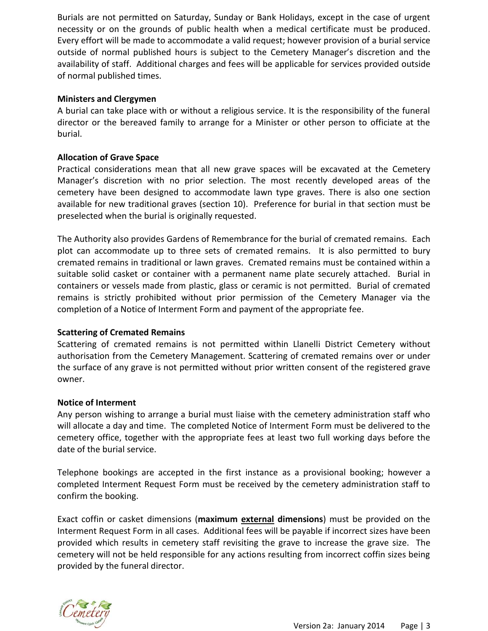Burials are not permitted on Saturday, Sunday or Bank Holidays, except in the case of urgent necessity or on the grounds of public health when a medical certificate must be produced. Every effort will be made to accommodate a valid request; however provision of a burial service outside of normal published hours is subject to the Cemetery Manager's discretion and the availability of staff. Additional charges and fees will be applicable for services provided outside of normal published times.

# **Ministers and Clergymen**

A burial can take place with or without a religious service. It is the responsibility of the funeral director or the bereaved family to arrange for a Minister or other person to officiate at the burial.

## **Allocation of Grave Space**

Practical considerations mean that all new grave spaces will be excavated at the Cemetery Manager's discretion with no prior selection. The most recently developed areas of the cemetery have been designed to accommodate lawn type graves. There is also one section available for new traditional graves (section 10). Preference for burial in that section must be preselected when the burial is originally requested.

The Authority also provides Gardens of Remembrance for the burial of cremated remains. Each plot can accommodate up to three sets of cremated remains. It is also permitted to bury cremated remains in traditional or lawn graves. Cremated remains must be contained within a suitable solid casket or container with a permanent name plate securely attached. Burial in containers or vessels made from plastic, glass or ceramic is not permitted. Burial of cremated remains is strictly prohibited without prior permission of the Cemetery Manager via the completion of a Notice of Interment Form and payment of the appropriate fee.

## **Scattering of Cremated Remains**

Scattering of cremated remains is not permitted within Llanelli District Cemetery without authorisation from the Cemetery Management. Scattering of cremated remains over or under the surface of any grave is not permitted without prior written consent of the registered grave owner.

## **Notice of Interment**

Any person wishing to arrange a burial must liaise with the cemetery administration staff who will allocate a day and time. The completed Notice of Interment Form must be delivered to the cemetery office, together with the appropriate fees at least two full working days before the date of the burial service.

Telephone bookings are accepted in the first instance as a provisional booking; however a completed Interment Request Form must be received by the cemetery administration staff to confirm the booking.

Exact coffin or casket dimensions (**maximum external dimensions**) must be provided on the Interment Request Form in all cases. Additional fees will be payable if incorrect sizes have been provided which results in cemetery staff revisiting the grave to increase the grave size. The cemetery will not be held responsible for any actions resulting from incorrect coffin sizes being provided by the funeral director.

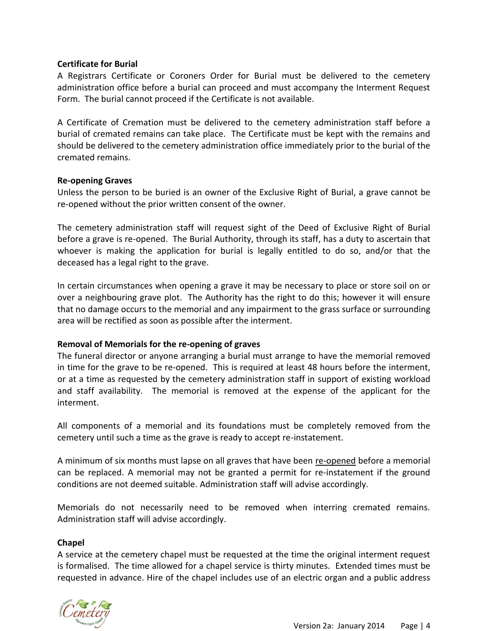## **Certificate for Burial**

A Registrars Certificate or Coroners Order for Burial must be delivered to the cemetery administration office before a burial can proceed and must accompany the Interment Request Form. The burial cannot proceed if the Certificate is not available.

A Certificate of Cremation must be delivered to the cemetery administration staff before a burial of cremated remains can take place. The Certificate must be kept with the remains and should be delivered to the cemetery administration office immediately prior to the burial of the cremated remains.

## **Re-opening Graves**

Unless the person to be buried is an owner of the Exclusive Right of Burial, a grave cannot be re-opened without the prior written consent of the owner.

The cemetery administration staff will request sight of the Deed of Exclusive Right of Burial before a grave is re-opened. The Burial Authority, through its staff, has a duty to ascertain that whoever is making the application for burial is legally entitled to do so, and/or that the deceased has a legal right to the grave.

In certain circumstances when opening a grave it may be necessary to place or store soil on or over a neighbouring grave plot. The Authority has the right to do this; however it will ensure that no damage occurs to the memorial and any impairment to the grass surface or surrounding area will be rectified as soon as possible after the interment.

## **Removal of Memorials for the re-opening of graves**

The funeral director or anyone arranging a burial must arrange to have the memorial removed in time for the grave to be re-opened. This is required at least 48 hours before the interment, or at a time as requested by the cemetery administration staff in support of existing workload and staff availability. The memorial is removed at the expense of the applicant for the interment.

All components of a memorial and its foundations must be completely removed from the cemetery until such a time as the grave is ready to accept re-instatement.

A minimum of six months must lapse on all graves that have been re-opened before a memorial can be replaced. A memorial may not be granted a permit for re-instatement if the ground conditions are not deemed suitable. Administration staff will advise accordingly.

Memorials do not necessarily need to be removed when interring cremated remains. Administration staff will advise accordingly.

## **Chapel**

A service at the cemetery chapel must be requested at the time the original interment request is formalised. The time allowed for a chapel service is thirty minutes. Extended times must be requested in advance. Hire of the chapel includes use of an electric organ and a public address

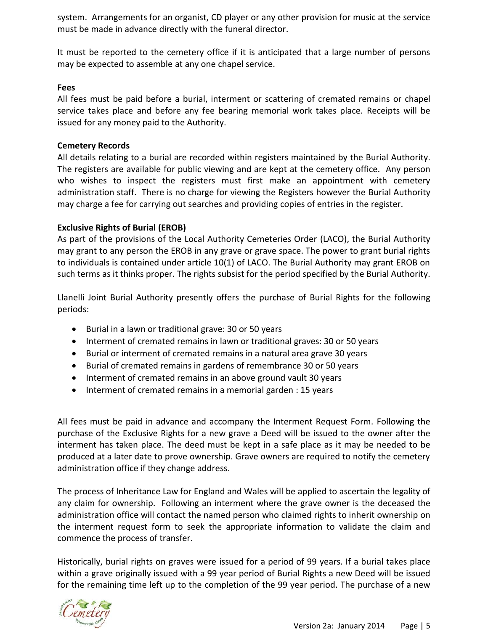system. Arrangements for an organist, CD player or any other provision for music at the service must be made in advance directly with the funeral director.

It must be reported to the cemetery office if it is anticipated that a large number of persons may be expected to assemble at any one chapel service.

## **Fees**

All fees must be paid before a burial, interment or scattering of cremated remains or chapel service takes place and before any fee bearing memorial work takes place. Receipts will be issued for any money paid to the Authority.

## **Cemetery Records**

All details relating to a burial are recorded within registers maintained by the Burial Authority. The registers are available for public viewing and are kept at the cemetery office. Any person who wishes to inspect the registers must first make an appointment with cemetery administration staff. There is no charge for viewing the Registers however the Burial Authority may charge a fee for carrying out searches and providing copies of entries in the register.

## **Exclusive Rights of Burial (EROB)**

As part of the provisions of the Local Authority Cemeteries Order (LACO), the Burial Authority may grant to any person the EROB in any grave or grave space. The power to grant burial rights to individuals is contained under article 10(1) of LACO. The Burial Authority may grant EROB on such terms as it thinks proper. The rights subsist for the period specified by the Burial Authority.

Llanelli Joint Burial Authority presently offers the purchase of Burial Rights for the following periods:

- Burial in a lawn or traditional grave: 30 or 50 years
- Interment of cremated remains in lawn or traditional graves: 30 or 50 years
- Burial or interment of cremated remains in a natural area grave 30 years
- Burial of cremated remains in gardens of remembrance 30 or 50 years
- Interment of cremated remains in an above ground vault 30 years
- Interment of cremated remains in a memorial garden : 15 years

All fees must be paid in advance and accompany the Interment Request Form. Following the purchase of the Exclusive Rights for a new grave a Deed will be issued to the owner after the interment has taken place. The deed must be kept in a safe place as it may be needed to be produced at a later date to prove ownership. Grave owners are required to notify the cemetery administration office if they change address.

The process of Inheritance Law for England and Wales will be applied to ascertain the legality of any claim for ownership. Following an interment where the grave owner is the deceased the administration office will contact the named person who claimed rights to inherit ownership on the interment request form to seek the appropriate information to validate the claim and commence the process of transfer.

Historically, burial rights on graves were issued for a period of 99 years. If a burial takes place within a grave originally issued with a 99 year period of Burial Rights a new Deed will be issued for the remaining time left up to the completion of the 99 year period. The purchase of a new

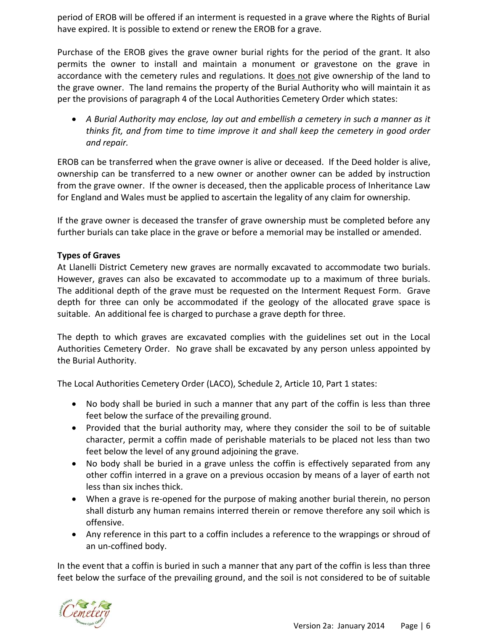period of EROB will be offered if an interment is requested in a grave where the Rights of Burial have expired. It is possible to extend or renew the EROB for a grave.

Purchase of the EROB gives the grave owner burial rights for the period of the grant. It also permits the owner to install and maintain a monument or gravestone on the grave in accordance with the cemetery rules and regulations. It does not give ownership of the land to the grave owner. The land remains the property of the Burial Authority who will maintain it as per the provisions of paragraph 4 of the Local Authorities Cemetery Order which states:

 *A Burial Authority may enclose, lay out and embellish a cemetery in such a manner as it thinks fit, and from time to time improve it and shall keep the cemetery in good order and repair.*

EROB can be transferred when the grave owner is alive or deceased. If the Deed holder is alive, ownership can be transferred to a new owner or another owner can be added by instruction from the grave owner. If the owner is deceased, then the applicable process of Inheritance Law for England and Wales must be applied to ascertain the legality of any claim for ownership.

If the grave owner is deceased the transfer of grave ownership must be completed before any further burials can take place in the grave or before a memorial may be installed or amended.

# **Types of Graves**

At Llanelli District Cemetery new graves are normally excavated to accommodate two burials. However, graves can also be excavated to accommodate up to a maximum of three burials. The additional depth of the grave must be requested on the Interment Request Form. Grave depth for three can only be accommodated if the geology of the allocated grave space is suitable. An additional fee is charged to purchase a grave depth for three.

The depth to which graves are excavated complies with the guidelines set out in the Local Authorities Cemetery Order. No grave shall be excavated by any person unless appointed by the Burial Authority.

The Local Authorities Cemetery Order (LACO), Schedule 2, Article 10, Part 1 states:

- No body shall be buried in such a manner that any part of the coffin is less than three feet below the surface of the prevailing ground.
- Provided that the burial authority may, where they consider the soil to be of suitable character, permit a coffin made of perishable materials to be placed not less than two feet below the level of any ground adjoining the grave.
- No body shall be buried in a grave unless the coffin is effectively separated from any other coffin interred in a grave on a previous occasion by means of a layer of earth not less than six inches thick.
- When a grave is re-opened for the purpose of making another burial therein, no person shall disturb any human remains interred therein or remove therefore any soil which is offensive.
- Any reference in this part to a coffin includes a reference to the wrappings or shroud of an un-coffined body.

In the event that a coffin is buried in such a manner that any part of the coffin is less than three feet below the surface of the prevailing ground, and the soil is not considered to be of suitable

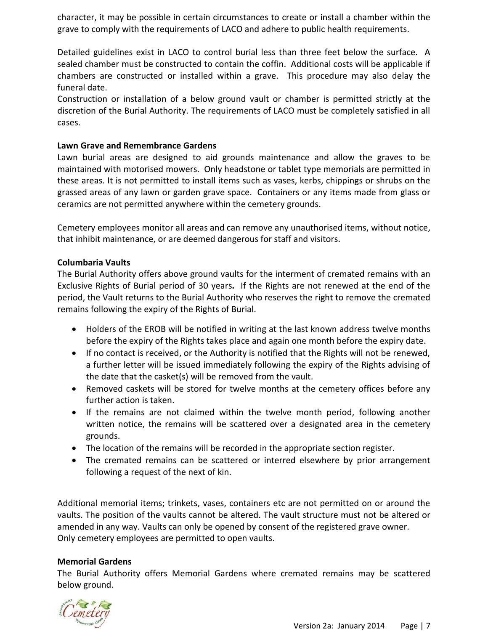character, it may be possible in certain circumstances to create or install a chamber within the grave to comply with the requirements of LACO and adhere to public health requirements.

Detailed guidelines exist in LACO to control burial less than three feet below the surface. A sealed chamber must be constructed to contain the coffin. Additional costs will be applicable if chambers are constructed or installed within a grave. This procedure may also delay the funeral date.

Construction or installation of a below ground vault or chamber is permitted strictly at the discretion of the Burial Authority. The requirements of LACO must be completely satisfied in all cases.

# **Lawn Grave and Remembrance Gardens**

Lawn burial areas are designed to aid grounds maintenance and allow the graves to be maintained with motorised mowers. Only headstone or tablet type memorials are permitted in these areas. It is not permitted to install items such as vases, kerbs, chippings or shrubs on the grassed areas of any lawn or garden grave space. Containers or any items made from glass or ceramics are not permitted anywhere within the cemetery grounds.

Cemetery employees monitor all areas and can remove any unauthorised items, without notice, that inhibit maintenance, or are deemed dangerous for staff and visitors.

# **Columbaria Vaults**

The Burial Authority offers above ground vaults for the interment of cremated remains with an Exclusive Rights of Burial period of 30 years**.** If the Rights are not renewed at the end of the period, the Vault returns to the Burial Authority who reserves the right to remove the cremated remains following the expiry of the Rights of Burial.

- Holders of the EROB will be notified in writing at the last known address twelve months before the expiry of the Rights takes place and again one month before the expiry date.
- If no contact is received, or the Authority is notified that the Rights will not be renewed, a further letter will be issued immediately following the expiry of the Rights advising of the date that the casket(s) will be removed from the vault.
- Removed caskets will be stored for twelve months at the cemetery offices before any further action is taken.
- If the remains are not claimed within the twelve month period, following another written notice, the remains will be scattered over a designated area in the cemetery grounds.
- The location of the remains will be recorded in the appropriate section register.
- The cremated remains can be scattered or interred elsewhere by prior arrangement following a request of the next of kin.

Additional memorial items; trinkets, vases, containers etc are not permitted on or around the vaults. The position of the vaults cannot be altered. The vault structure must not be altered or amended in any way. Vaults can only be opened by consent of the registered grave owner. Only cemetery employees are permitted to open vaults.

## **Memorial Gardens**

The Burial Authority offers Memorial Gardens where cremated remains may be scattered below ground.

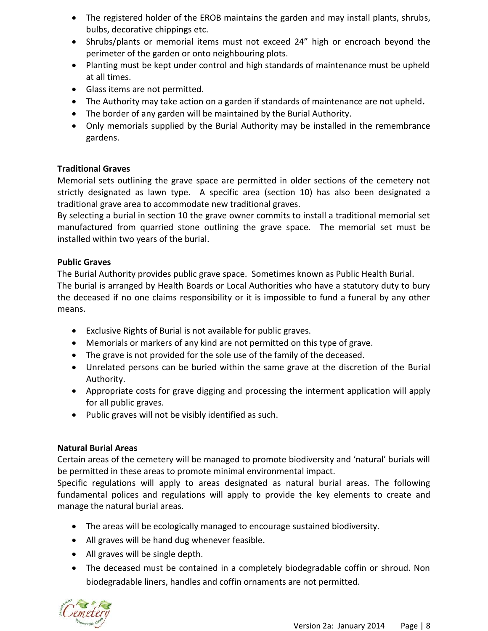- The registered holder of the EROB maintains the garden and may install plants, shrubs, bulbs, decorative chippings etc.
- Shrubs/plants or memorial items must not exceed 24" high or encroach beyond the perimeter of the garden or onto neighbouring plots.
- Planting must be kept under control and high standards of maintenance must be upheld at all times.
- Glass items are not permitted.
- The Authority may take action on a garden if standards of maintenance are not upheld**.**
- The border of any garden will be maintained by the Burial Authority.
- Only memorials supplied by the Burial Authority may be installed in the remembrance gardens.

# **Traditional Graves**

Memorial sets outlining the grave space are permitted in older sections of the cemetery not strictly designated as lawn type. A specific area (section 10) has also been designated a traditional grave area to accommodate new traditional graves.

By selecting a burial in section 10 the grave owner commits to install a traditional memorial set manufactured from quarried stone outlining the grave space. The memorial set must be installed within two years of the burial.

# **Public Graves**

The Burial Authority provides public grave space. Sometimes known as Public Health Burial. The burial is arranged by Health Boards or Local Authorities who have a statutory duty to bury the deceased if no one claims responsibility or it is impossible to fund a funeral by any other means.

- Exclusive Rights of Burial is not available for public graves.
- Memorials or markers of any kind are not permitted on this type of grave.
- The grave is not provided for the sole use of the family of the deceased.
- Unrelated persons can be buried within the same grave at the discretion of the Burial Authority.
- Appropriate costs for grave digging and processing the interment application will apply for all public graves.
- Public graves will not be visibly identified as such.

# **Natural Burial Areas**

Certain areas of the cemetery will be managed to promote biodiversity and 'natural' burials will be permitted in these areas to promote minimal environmental impact.

Specific regulations will apply to areas designated as natural burial areas. The following fundamental polices and regulations will apply to provide the key elements to create and manage the natural burial areas.

- The areas will be ecologically managed to encourage sustained biodiversity.
- All graves will be hand dug whenever feasible.
- All graves will be single depth.
- The deceased must be contained in a completely biodegradable coffin or shroud. Non biodegradable liners, handles and coffin ornaments are not permitted.

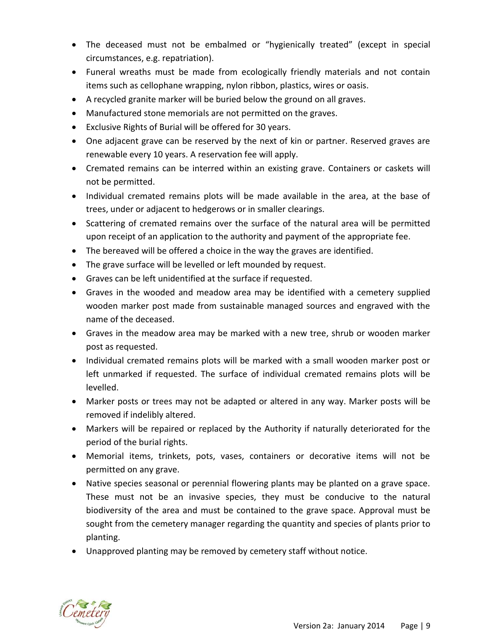- The deceased must not be embalmed or "hygienically treated" (except in special circumstances, e.g. repatriation).
- Funeral wreaths must be made from ecologically friendly materials and not contain items such as cellophane wrapping, nylon ribbon, plastics, wires or oasis.
- A recycled granite marker will be buried below the ground on all graves.
- Manufactured stone memorials are not permitted on the graves.
- Exclusive Rights of Burial will be offered for 30 years.
- One adjacent grave can be reserved by the next of kin or partner. Reserved graves are renewable every 10 years. A reservation fee will apply.
- Cremated remains can be interred within an existing grave. Containers or caskets will not be permitted.
- Individual cremated remains plots will be made available in the area, at the base of trees, under or adjacent to hedgerows or in smaller clearings.
- Scattering of cremated remains over the surface of the natural area will be permitted upon receipt of an application to the authority and payment of the appropriate fee.
- The bereaved will be offered a choice in the way the graves are identified.
- The grave surface will be levelled or left mounded by request.
- Graves can be left unidentified at the surface if requested.
- Graves in the wooded and meadow area may be identified with a cemetery supplied wooden marker post made from sustainable managed sources and engraved with the name of the deceased.
- Graves in the meadow area may be marked with a new tree, shrub or wooden marker post as requested.
- Individual cremated remains plots will be marked with a small wooden marker post or left unmarked if requested. The surface of individual cremated remains plots will be levelled.
- Marker posts or trees may not be adapted or altered in any way. Marker posts will be removed if indelibly altered.
- Markers will be repaired or replaced by the Authority if naturally deteriorated for the period of the burial rights.
- Memorial items, trinkets, pots, vases, containers or decorative items will not be permitted on any grave.
- Native species seasonal or perennial flowering plants may be planted on a grave space. These must not be an invasive species, they must be conducive to the natural biodiversity of the area and must be contained to the grave space. Approval must be sought from the cemetery manager regarding the quantity and species of plants prior to planting.
- Unapproved planting may be removed by cemetery staff without notice.

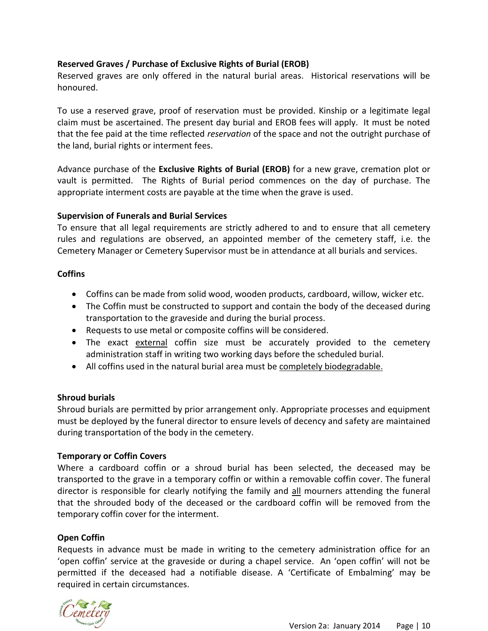# **Reserved Graves / Purchase of Exclusive Rights of Burial (EROB)**

Reserved graves are only offered in the natural burial areas. Historical reservations will be honoured.

To use a reserved grave, proof of reservation must be provided. Kinship or a legitimate legal claim must be ascertained. The present day burial and EROB fees will apply. It must be noted that the fee paid at the time reflected *reservation* of the space and not the outright purchase of the land, burial rights or interment fees.

Advance purchase of the **Exclusive Rights of Burial (EROB)** for a new grave, cremation plot or vault is permitted. The Rights of Burial period commences on the day of purchase. The appropriate interment costs are payable at the time when the grave is used.

## **Supervision of Funerals and Burial Services**

To ensure that all legal requirements are strictly adhered to and to ensure that all cemetery rules and regulations are observed, an appointed member of the cemetery staff, i.e. the Cemetery Manager or Cemetery Supervisor must be in attendance at all burials and services.

## **Coffins**

- Coffins can be made from solid wood, wooden products, cardboard, willow, wicker etc.
- The Coffin must be constructed to support and contain the body of the deceased during transportation to the graveside and during the burial process.
- Requests to use metal or composite coffins will be considered.
- The exact external coffin size must be accurately provided to the cemetery administration staff in writing two working days before the scheduled burial.
- All coffins used in the natural burial area must be completely biodegradable.

# **Shroud burials**

Shroud burials are permitted by prior arrangement only. Appropriate processes and equipment must be deployed by the funeral director to ensure levels of decency and safety are maintained during transportation of the body in the cemetery.

# **Temporary or Coffin Covers**

Where a cardboard coffin or a shroud burial has been selected, the deceased may be transported to the grave in a temporary coffin or within a removable coffin cover. The funeral director is responsible for clearly notifying the family and all mourners attending the funeral that the shrouded body of the deceased or the cardboard coffin will be removed from the temporary coffin cover for the interment.

# **Open Coffin**

Requests in advance must be made in writing to the cemetery administration office for an 'open coffin' service at the graveside or during a chapel service. An 'open coffin' will not be permitted if the deceased had a notifiable disease. A 'Certificate of Embalming' may be required in certain circumstances.

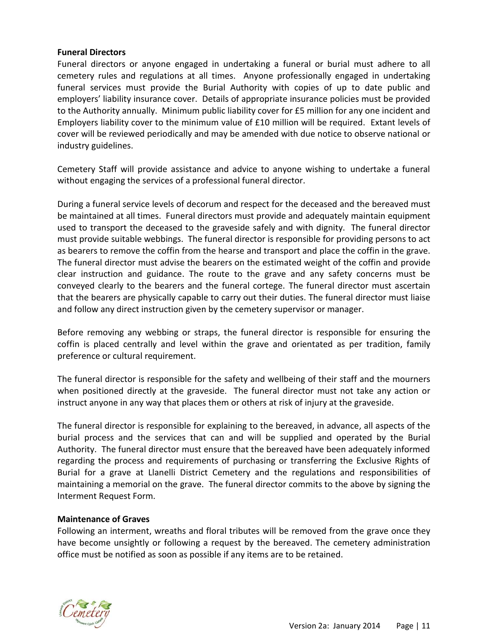## **Funeral Directors**

Funeral directors or anyone engaged in undertaking a funeral or burial must adhere to all cemetery rules and regulations at all times. Anyone professionally engaged in undertaking funeral services must provide the Burial Authority with copies of up to date public and employers' liability insurance cover. Details of appropriate insurance policies must be provided to the Authority annually. Minimum public liability cover for £5 million for any one incident and Employers liability cover to the minimum value of £10 million will be required. Extant levels of cover will be reviewed periodically and may be amended with due notice to observe national or industry guidelines.

Cemetery Staff will provide assistance and advice to anyone wishing to undertake a funeral without engaging the services of a professional funeral director.

During a funeral service levels of decorum and respect for the deceased and the bereaved must be maintained at all times. Funeral directors must provide and adequately maintain equipment used to transport the deceased to the graveside safely and with dignity. The funeral director must provide suitable webbings. The funeral director is responsible for providing persons to act as bearers to remove the coffin from the hearse and transport and place the coffin in the grave. The funeral director must advise the bearers on the estimated weight of the coffin and provide clear instruction and guidance. The route to the grave and any safety concerns must be conveyed clearly to the bearers and the funeral cortege. The funeral director must ascertain that the bearers are physically capable to carry out their duties. The funeral director must liaise and follow any direct instruction given by the cemetery supervisor or manager.

Before removing any webbing or straps, the funeral director is responsible for ensuring the coffin is placed centrally and level within the grave and orientated as per tradition, family preference or cultural requirement.

The funeral director is responsible for the safety and wellbeing of their staff and the mourners when positioned directly at the graveside. The funeral director must not take any action or instruct anyone in any way that places them or others at risk of injury at the graveside.

The funeral director is responsible for explaining to the bereaved, in advance, all aspects of the burial process and the services that can and will be supplied and operated by the Burial Authority. The funeral director must ensure that the bereaved have been adequately informed regarding the process and requirements of purchasing or transferring the Exclusive Rights of Burial for a grave at Llanelli District Cemetery and the regulations and responsibilities of maintaining a memorial on the grave. The funeral director commits to the above by signing the Interment Request Form.

## **Maintenance of Graves**

Following an interment, wreaths and floral tributes will be removed from the grave once they have become unsightly or following a request by the bereaved. The cemetery administration office must be notified as soon as possible if any items are to be retained.

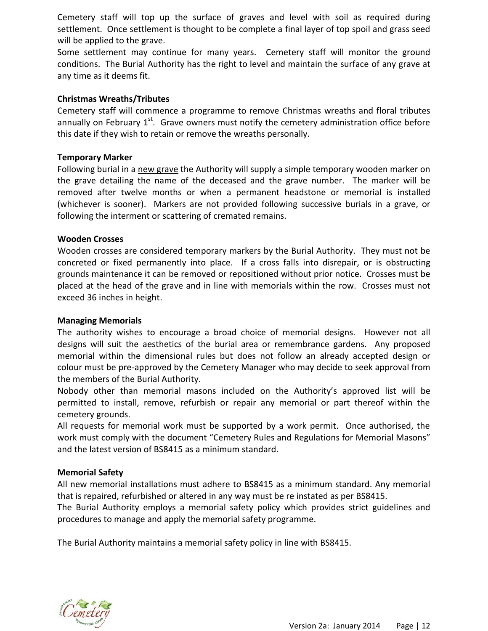Cemetery staff will top up the surface of graves and level with soil as required during settlement. Once settlement is thought to be complete a final layer of top spoil and grass seed will be applied to the grave.

Some settlement may continue for many years. Cemetery staff will monitor the ground conditions. The Burial Authority has the right to level and maintain the surface of any grave at any time as it deems fit.

## **Christmas Wreaths/Tributes**

Cemetery staff will commence a programme to remove Christmas wreaths and floral tributes annually on February  $1^{st}$ . Grave owners must notify the cemetery administration office before this date if they wish to retain or remove the wreaths personally.

#### **Temporary Marker**

Following burial in a new grave the Authority will supply a simple temporary wooden marker on the grave detailing the name of the deceased and the grave number. The marker will be removed after twelve months or when a permanent headstone or memorial is installed (whichever is sooner). Markers are not provided following successive burials in a grave, or following the interment or scattering of cremated remains.

## **Wooden Crosses**

Wooden crosses are considered temporary markers by the Burial Authority. They must not be concreted or fixed permanently into place. If a cross falls into disrepair, or is obstructing grounds maintenance it can be removed or repositioned without prior notice. Crosses must be placed at the head of the grave and in line with memorials within the row. Crosses must not exceed 36 inches in height.

#### **Managing Memorials**

The authority wishes to encourage a broad choice of memorial designs. However not all designs will suit the aesthetics of the burial area or remembrance gardens. Any proposed memorial within the dimensional rules but does not follow an already accepted design or colour must be pre-approved by the Cemetery Manager who may decide to seek approval from the members of the Burial Authority.

Nobody other than memorial masons included on the Authority's approved list will be permitted to install, remove, refurbish or repair any memorial or part thereof within the cemetery grounds.

All requests for memorial work must be supported by a work permit. Once authorised, the work must comply with the document "Cemetery Rules and Regulations for Memorial Masons" and the latest version of BS8415 as a minimum standard.

## **Memorial Safety**

All new memorial installations must adhere to BS8415 as a minimum standard. Any memorial that is repaired, refurbished or altered in any way must be re instated as per BS8415.

The Burial Authority employs a memorial safety policy which provides strict guidelines and procedures to manage and apply the memorial safety programme.

The Burial Authority maintains a memorial safety policy in line with BS8415.

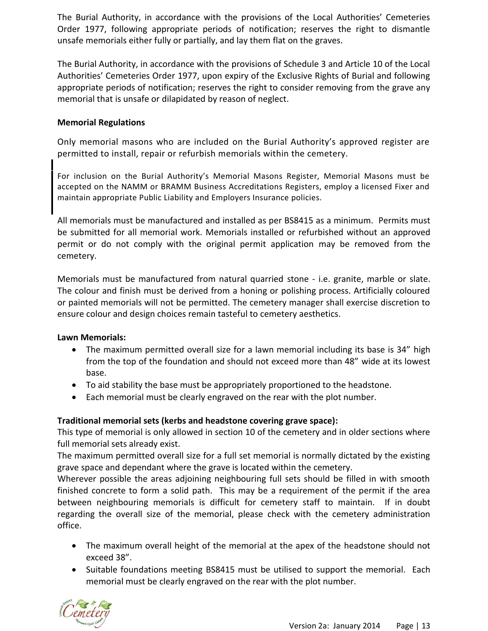The Burial Authority, in accordance with the provisions of the Local Authorities' Cemeteries Order 1977, following appropriate periods of notification; reserves the right to dismantle unsafe memorials either fully or partially, and lay them flat on the graves.

The Burial Authority, in accordance with the provisions of Schedule 3 and Article 10 of the Local Authorities' Cemeteries Order 1977, upon expiry of the Exclusive Rights of Burial and following appropriate periods of notification; reserves the right to consider removing from the grave any memorial that is unsafe or dilapidated by reason of neglect.

## **Memorial Regulations**

Only memorial masons who are included on the Burial Authority's approved register are permitted to install, repair or refurbish memorials within the cemetery.

For inclusion on the Burial Authority's Memorial Masons Register, Memorial Masons must be accepted on the NAMM or BRAMM Business Accreditations Registers, employ a licensed Fixer and maintain appropriate Public Liability and Employers Insurance policies.

All memorials must be manufactured and installed as per BS8415 as a minimum. Permits must be submitted for all memorial work. Memorials installed or refurbished without an approved permit or do not comply with the original permit application may be removed from the cemetery.

Memorials must be manufactured from natural quarried stone - i.e. granite, marble or slate. The colour and finish must be derived from a honing or polishing process. Artificially coloured or painted memorials will not be permitted. The cemetery manager shall exercise discretion to ensure colour and design choices remain tasteful to cemetery aesthetics.

## **Lawn Memorials:**

- The maximum permitted overall size for a lawn memorial including its base is 34" high from the top of the foundation and should not exceed more than 48" wide at its lowest base.
- To aid stability the base must be appropriately proportioned to the headstone.
- Each memorial must be clearly engraved on the rear with the plot number.

# **Traditional memorial sets (kerbs and headstone covering grave space):**

This type of memorial is only allowed in section 10 of the cemetery and in older sections where full memorial sets already exist.

The maximum permitted overall size for a full set memorial is normally dictated by the existing grave space and dependant where the grave is located within the cemetery.

Wherever possible the areas adjoining neighbouring full sets should be filled in with smooth finished concrete to form a solid path. This may be a requirement of the permit if the area between neighbouring memorials is difficult for cemetery staff to maintain. If in doubt regarding the overall size of the memorial, please check with the cemetery administration office.

- The maximum overall height of the memorial at the apex of the headstone should not exceed 38".
- Suitable foundations meeting BS8415 must be utilised to support the memorial. Each memorial must be clearly engraved on the rear with the plot number.

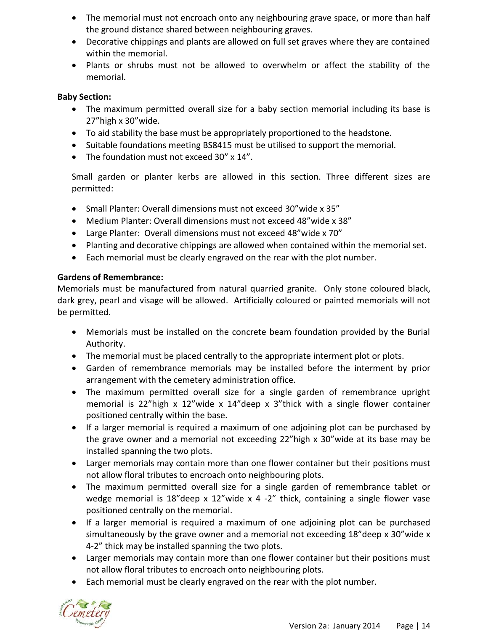- The memorial must not encroach onto any neighbouring grave space, or more than half the ground distance shared between neighbouring graves.
- Decorative chippings and plants are allowed on full set graves where they are contained within the memorial.
- Plants or shrubs must not be allowed to overwhelm or affect the stability of the memorial.

# **Baby Section:**

- The maximum permitted overall size for a baby section memorial including its base is 27"high x 30"wide.
- To aid stability the base must be appropriately proportioned to the headstone.
- Suitable foundations meeting BS8415 must be utilised to support the memorial.
- The foundation must not exceed 30" x 14".

Small garden or planter kerbs are allowed in this section. Three different sizes are permitted:

- Small Planter: Overall dimensions must not exceed 30"wide x 35"
- Medium Planter: Overall dimensions must not exceed 48"wide x 38"
- Large Planter: Overall dimensions must not exceed 48"wide x 70"
- Planting and decorative chippings are allowed when contained within the memorial set.
- Each memorial must be clearly engraved on the rear with the plot number.

## **Gardens of Remembrance:**

Memorials must be manufactured from natural quarried granite. Only stone coloured black, dark grey, pearl and visage will be allowed. Artificially coloured or painted memorials will not be permitted.

- Memorials must be installed on the concrete beam foundation provided by the Burial Authority.
- The memorial must be placed centrally to the appropriate interment plot or plots.
- Garden of remembrance memorials may be installed before the interment by prior arrangement with the cemetery administration office.
- The maximum permitted overall size for a single garden of remembrance upright memorial is 22"high x 12"wide x 14" deep x 3"thick with a single flower container positioned centrally within the base.
- If a larger memorial is required a maximum of one adjoining plot can be purchased by the grave owner and a memorial not exceeding 22"high x 30"wide at its base may be installed spanning the two plots.
- Larger memorials may contain more than one flower container but their positions must not allow floral tributes to encroach onto neighbouring plots.
- The maximum permitted overall size for a single garden of remembrance tablet or wedge memorial is 18"deep x 12"wide x 4 -2" thick, containing a single flower vase positioned centrally on the memorial.
- If a larger memorial is required a maximum of one adjoining plot can be purchased simultaneously by the grave owner and a memorial not exceeding 18"deep x 30"wide x 4-2" thick may be installed spanning the two plots.
- Larger memorials may contain more than one flower container but their positions must not allow floral tributes to encroach onto neighbouring plots.
- Each memorial must be clearly engraved on the rear with the plot number.

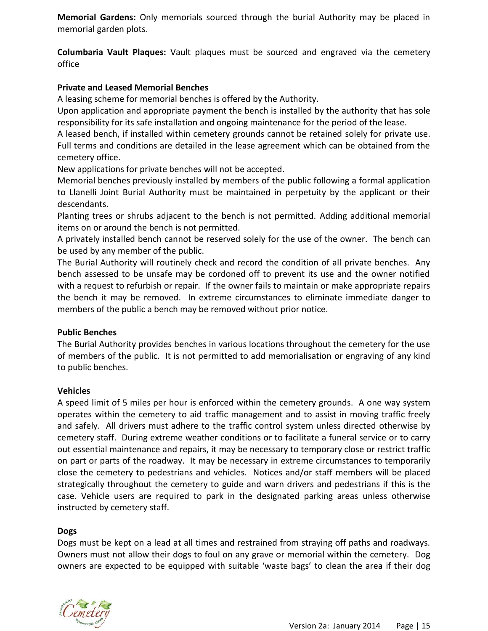**Memorial Gardens:** Only memorials sourced through the burial Authority may be placed in memorial garden plots.

**Columbaria Vault Plaques:** Vault plaques must be sourced and engraved via the cemetery office

# **Private and Leased Memorial Benches**

A leasing scheme for memorial benches is offered by the Authority.

Upon application and appropriate payment the bench is installed by the authority that has sole responsibility for its safe installation and ongoing maintenance for the period of the lease.

A leased bench, if installed within cemetery grounds cannot be retained solely for private use. Full terms and conditions are detailed in the lease agreement which can be obtained from the cemetery office.

New applications for private benches will not be accepted.

Memorial benches previously installed by members of the public following a formal application to Llanelli Joint Burial Authority must be maintained in perpetuity by the applicant or their descendants.

Planting trees or shrubs adjacent to the bench is not permitted. Adding additional memorial items on or around the bench is not permitted.

A privately installed bench cannot be reserved solely for the use of the owner. The bench can be used by any member of the public.

The Burial Authority will routinely check and record the condition of all private benches. Any bench assessed to be unsafe may be cordoned off to prevent its use and the owner notified with a request to refurbish or repair. If the owner fails to maintain or make appropriate repairs the bench it may be removed. In extreme circumstances to eliminate immediate danger to members of the public a bench may be removed without prior notice.

# **Public Benches**

The Burial Authority provides benches in various locations throughout the cemetery for the use of members of the public. It is not permitted to add memorialisation or engraving of any kind to public benches.

# **Vehicles**

A speed limit of 5 miles per hour is enforced within the cemetery grounds. A one way system operates within the cemetery to aid traffic management and to assist in moving traffic freely and safely. All drivers must adhere to the traffic control system unless directed otherwise by cemetery staff. During extreme weather conditions or to facilitate a funeral service or to carry out essential maintenance and repairs, it may be necessary to temporary close or restrict traffic on part or parts of the roadway. It may be necessary in extreme circumstances to temporarily close the cemetery to pedestrians and vehicles. Notices and/or staff members will be placed strategically throughout the cemetery to guide and warn drivers and pedestrians if this is the case. Vehicle users are required to park in the designated parking areas unless otherwise instructed by cemetery staff.

# **Dogs**

Dogs must be kept on a lead at all times and restrained from straying off paths and roadways. Owners must not allow their dogs to foul on any grave or memorial within the cemetery. Dog owners are expected to be equipped with suitable 'waste bags' to clean the area if their dog

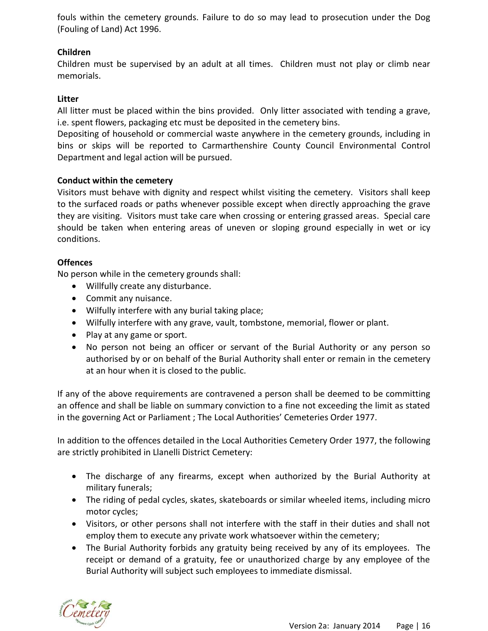fouls within the cemetery grounds. Failure to do so may lead to prosecution under the Dog (Fouling of Land) Act 1996.

# **Children**

Children must be supervised by an adult at all times. Children must not play or climb near memorials.

## **Litter**

All litter must be placed within the bins provided. Only litter associated with tending a grave, i.e. spent flowers, packaging etc must be deposited in the cemetery bins.

Depositing of household or commercial waste anywhere in the cemetery grounds, including in bins or skips will be reported to Carmarthenshire County Council Environmental Control Department and legal action will be pursued.

## **Conduct within the cemetery**

Visitors must behave with dignity and respect whilst visiting the cemetery. Visitors shall keep to the surfaced roads or paths whenever possible except when directly approaching the grave they are visiting. Visitors must take care when crossing or entering grassed areas. Special care should be taken when entering areas of uneven or sloping ground especially in wet or icy conditions.

## **Offences**

No person while in the cemetery grounds shall:

- Willfully create any disturbance.
- Commit any nuisance.
- Wilfully interfere with any burial taking place;
- Wilfully interfere with any grave, vault, tombstone, memorial, flower or plant.
- Play at any game or sport.
- No person not being an officer or servant of the Burial Authority or any person so authorised by or on behalf of the Burial Authority shall enter or remain in the cemetery at an hour when it is closed to the public.

If any of the above requirements are contravened a person shall be deemed to be committing an offence and shall be liable on summary conviction to a fine not exceeding the limit as stated in the governing Act or Parliament ; The Local Authorities' Cemeteries Order 1977.

In addition to the offences detailed in the Local Authorities Cemetery Order 1977, the following are strictly prohibited in Llanelli District Cemetery:

- The discharge of any firearms, except when authorized by the Burial Authority at military funerals;
- The riding of pedal cycles, skates, skateboards or similar wheeled items, including micro motor cycles;
- Visitors, or other persons shall not interfere with the staff in their duties and shall not employ them to execute any private work whatsoever within the cemetery;
- The Burial Authority forbids any gratuity being received by any of its employees. The receipt or demand of a gratuity, fee or unauthorized charge by any employee of the Burial Authority will subject such employees to immediate dismissal.